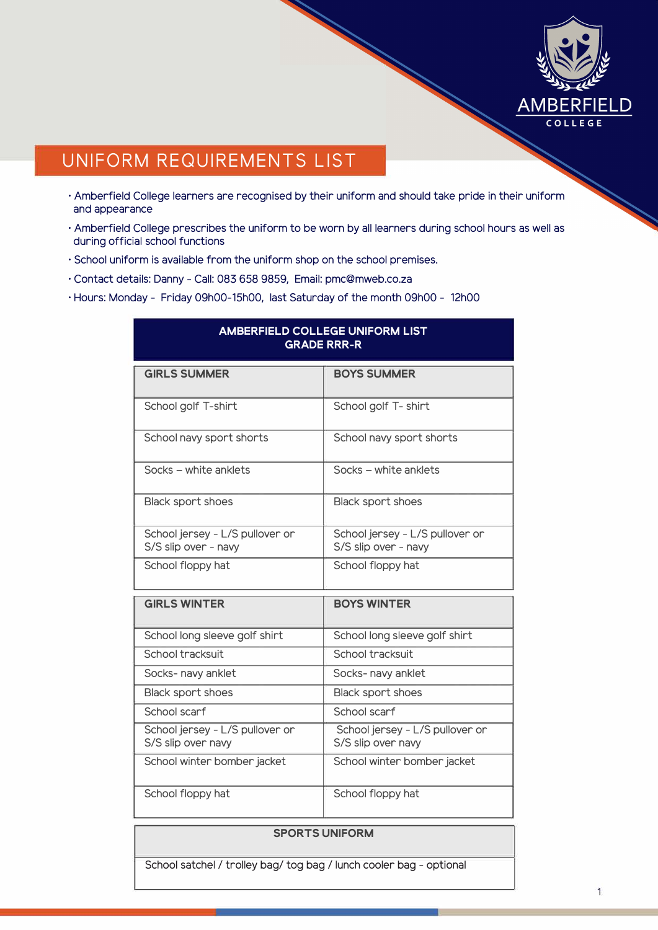

## **UNIFORM REQUIREMENTS LIST**

- · Amberfield College learners are recognised by their uniform and should take pride in their uniform and appearance
- · Amberfield College prescribes the uniform to be worn by all learners during school hours as well as during official school functions
- · School uniform is available from the uniform shop on the school premises.
- · Contact details: Danny Call: 083 658 9859, Email: pmc@mweb.co.za
- · Hours: Monday Friday 09h00-15h00, last Saturday of the month 09h00 12h00

|                                                         | <b>GRADE RRR-R</b>                                      |
|---------------------------------------------------------|---------------------------------------------------------|
| <b>GIRLS SUMMER</b>                                     | <b>BOYS SUMMER</b>                                      |
| School golf T-shirt                                     | School golf T- shirt                                    |
| School navy sport shorts                                | School navy sport shorts                                |
| Socks - white anklets                                   | Socks - white anklets                                   |
| <b>Black sport shoes</b>                                | <b>Black sport shoes</b>                                |
| School jersey - L/S pullover or<br>S/S slip over - navy | School jersey - L/S pullover or<br>S/S slip over - navy |
| School floppy hat                                       | School floppy hat                                       |
| <b>GIRLS WINTER</b>                                     | <b>BOYS WINTER</b>                                      |
| School long sleeve golf shirt                           | School long sleeve golf shirt                           |
| School tracksuit                                        | School tracksuit                                        |
| Socks- navy anklet                                      | Socks- navy anklet                                      |
| Black sport shoes                                       | Black sport shoes                                       |
| School scarf                                            | School scarf                                            |
| School jersey - L/S pullover or<br>S/S slip over navy   | School jersey - L/S pullover or<br>S/S slip over navy   |
| School winter bomber jacket                             | School winter bomber jacket                             |
| School floppy hat                                       | School floppy hat                                       |

# **AMBERFIELD COLLEGE UNIFORM LIST**

#### **SPORTS UNIFORM**

School satchel / trolley bag/ tog bag / lunch cooler bag - optional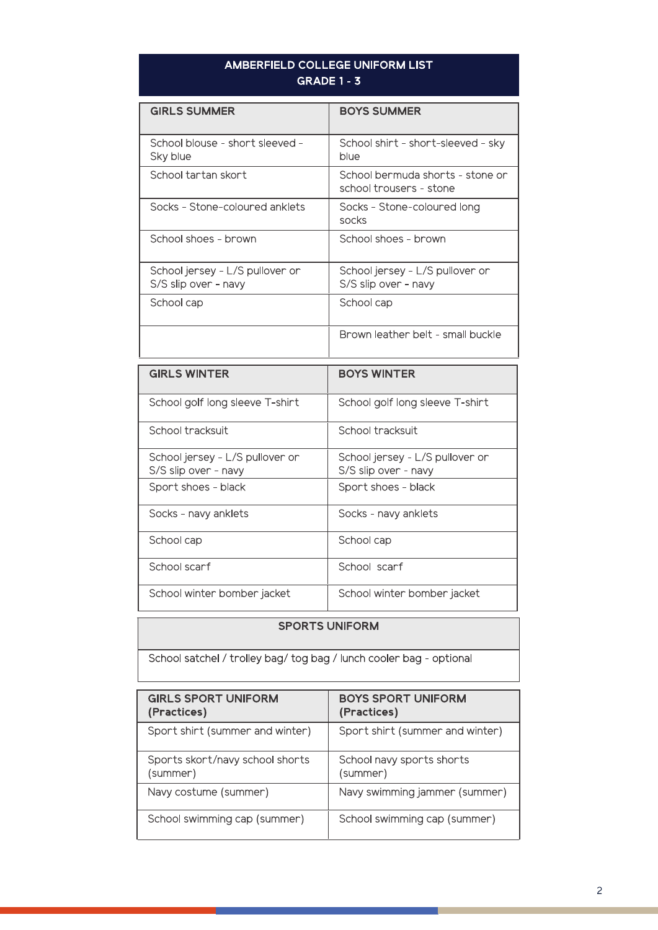### AMBERFIELD COLLEGE UNIFORM LIST **GRADE 1 - 3**

| <b>GIRLS SUMMER</b>                                     | <b>BOYS SUMMER</b>                                          |
|---------------------------------------------------------|-------------------------------------------------------------|
| School blouse - short sleeved -<br>Sky blue             | School shirt - short-sleeved - sky<br>blue                  |
| School tartan skort                                     | School bermuda shorts - stone or<br>school trousers - stone |
| Socks - Stone-coloured anklets                          | Socks - Stone-coloured long<br>socks                        |
| School shoes - brown                                    | School shoes - brown                                        |
| School jersey - L/S pullover or<br>S/S slip over - navy | School jersey - L/S pullover or<br>S/S slip over - navy     |
| School cap                                              | School cap                                                  |
|                                                         | Brown leather belt - small buckle                           |

| <b>GIRLS WINTER</b>                                     | <b>BOYS WINTER</b>                                      |
|---------------------------------------------------------|---------------------------------------------------------|
| School golf long sleeve T-shirt                         | School golf long sleeve T-shirt                         |
| School tracksuit                                        | School tracksuit                                        |
| School jersey - L/S pullover or<br>S/S slip over - navy | School jersey - L/S pullover or<br>S/S slip over - navy |
| Sport shoes - black                                     | Sport shoes - black                                     |
| Socks - navy anklets                                    | Socks - navy anklets                                    |
| School cap                                              | School cap                                              |
| School scarf                                            | School scarf                                            |
| School winter bomber jacket                             | School winter bomber jacket                             |

#### **SPORTS UNIFORM**

School satchel / trolley bag/ tog bag / lunch cooler bag - optional

| <b>GIRLS SPORT UNIFORM</b><br>(Practices)   | <b>BOYS SPORT UNIFORM</b><br>(Practices) |
|---------------------------------------------|------------------------------------------|
| Sport shirt (summer and winter)             | Sport shirt (summer and winter)          |
| Sports skort/navy school shorts<br>(summer) | School navy sports shorts<br>(summer)    |
| Navy costume (summer)                       | Navy swimming jammer (summer)            |
| School swimming cap (summer)                | School swimming cap (summer)             |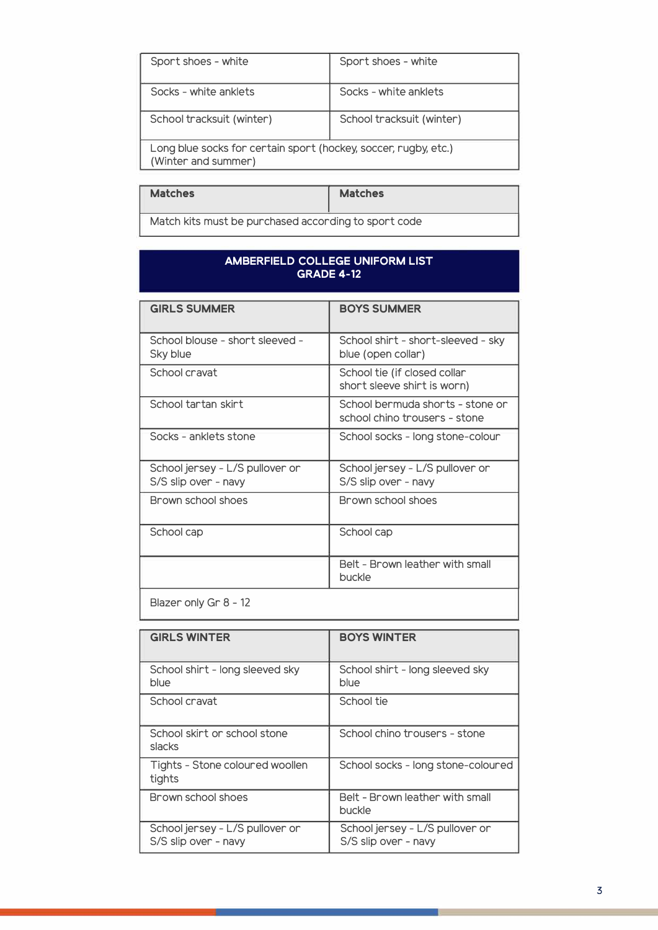| Socks - white anklets                                                                  |  |
|----------------------------------------------------------------------------------------|--|
| School tracksuit (winter)                                                              |  |
| Long blue socks for certain sport (hockey, soccer, rugby, etc.)<br>(Winter and summer) |  |
|                                                                                        |  |

| <b>Matches</b>                                       | <b>Matches</b> |
|------------------------------------------------------|----------------|
| Match kits must be purchased according to sport code |                |

#### **AMBERFIELD COLLEGE UNIFORM LIST GRADE 4-12**

| <b>GIRLS SUMMER</b>                                     | <b>BOYS SUMMER</b>                                                |
|---------------------------------------------------------|-------------------------------------------------------------------|
| School blouse - short sleeved -<br>Sky blue             | School shirt - short-sleeved - sky<br>blue (open collar)          |
| School cravat                                           | School tie (if closed collar<br>short sleeve shirt is worn)       |
| School tartan skirt                                     | School bermuda shorts - stone or<br>school chino trousers - stone |
| Socks - anklets stone                                   | School socks - long stone-colour                                  |
| School jersey - L/S pullover or<br>S/S slip over - navy | School jersey - L/S pullover or<br>S/S slip over - navy           |
| Brown school shoes                                      | Brown school shoes                                                |
| School cap                                              | School cap                                                        |
|                                                         | Belt - Brown leather with small<br>buckle                         |
| Blazer only Gr 8 - 12                                   |                                                                   |

| <b>GIRLS WINTER</b>                                     | <b>BOYS WINTER</b>                                      |
|---------------------------------------------------------|---------------------------------------------------------|
| School shirt - long sleeved sky<br>blue                 | School shirt - long sleeved sky<br>blue                 |
| School cravat                                           | School tie                                              |
| School skirt or school stone<br>slacks                  | School chino trousers - stone                           |
| Tights - Stone coloured woollen<br>tights               | School socks - long stone-coloured                      |
| Brown school shoes                                      | Belt - Brown leather with small<br>buckle               |
| School jersey - L/S pullover or<br>S/S slip over - navy | School jersey - L/S pullover or<br>S/S slip over - navy |